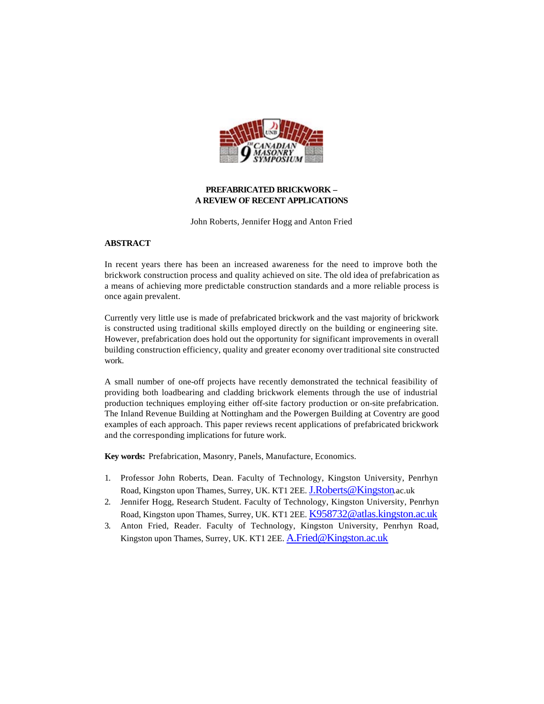

# **PREFABRICATED BRICKWORK – A REVIEW OF RECENT APPLICATIONS**

John Roberts, Jennifer Hogg and Anton Fried

### **ABSTRACT**

In recent years there has been an increased awareness for the need to improve both the brickwork construction process and quality achieved on site. The old idea of prefabrication as a means of achieving more predictable construction standards and a more reliable process is once again prevalent.

Currently very little use is made of prefabricated brickwork and the vast majority of brickwork is constructed using traditional skills employed directly on the building or engineering site. However, prefabrication does hold out the opportunity for significant improvements in overall building construction efficiency, quality and greater economy over traditional site constructed work.

A small number of one-off projects have recently demonstrated the technical feasibility of providing both loadbearing and cladding brickwork elements through the use of industrial production techniques employing either off-site factory production or on-site prefabrication. The Inland Revenue Building at Nottingham and the Powergen Building at Coventry are good examples of each approach. This paper reviews recent applications of prefabricated brickwork and the corresponding implications for future work.

**Key words:** Prefabrication, Masonry, Panels, Manufacture, Economics.

- 1. Professor John Roberts, Dean. Faculty of Technology, Kingston University, Penrhyn Road, Kingston upon Thames, Surrey, UK. KT1 2EE. J.Roberts@Kingston.ac.uk
- 2. Jennifer Hogg, Research Student. Faculty of Technology, Kingston University, Penrhyn Road, Kingston upon Thames, Surrey, UK. KT1 2EE. K958732@atlas.kingston.ac.uk
- 3. Anton Fried, Reader. Faculty of Technology, Kingston University, Penrhyn Road, Kingston upon Thames, Surrey, UK. KT1 2EE. A.Fried@Kingston.ac.uk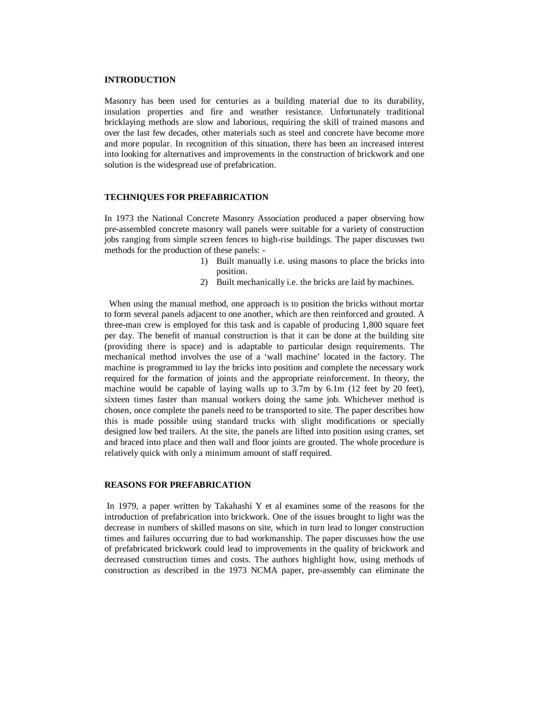#### **INTRODUCTION**

Masonry has been used for centuries as a building material due to its durability, insulation properties and fire and weather resistance. Unfortunately traditional bricklaying methods are slow and laborious, requiring the skill of trained masons and over the last few decades, other materials such as steel and concrete have become more and more popular. In recognition of this situation, there has been an increased interest into looking for alternatives and improvements in the construction of brickwork and one solution is the widespread use of prefabrication.

#### **TECHNIQUES FOR PREFABRICATION**

In 1973 the National Concrete Masonry Association produced a paper observing how pre-assembled concrete masonry wall panels were suitable for a variety of construction jobs ranging from simple screen fences to high-rise buildings. The paper discusses two methods for the production of these panels: -

- 1) Built manually i.e. using masons to place the bricks into position.
- 2) Built mechanically i.e. the bricks are laid by machines.

 When using the manual method, one approach is to position the bricks without mortar to form several panels adjacent to one another, which are then reinforced and grouted. A three-man crew is employed for this task and is capable of producing 1,800 square feet per day. The benefit of manual construction is that it can be done at the building site (providing there is space) and is adaptable to particular design requirements. The mechanical method involves the use of a 'wall machine' located in the factory. The machine is programmed to lay the bricks into position and complete the necessary work required for the formation of joints and the appropriate reinforcement. In theory, the machine would be capable of laying walls up to 3.7m by 6.1m (12 feet by 20 feet), sixteen times faster than manual workers doing the same job. Whichever method is chosen, once complete the panels need to be transported to site. The paper describes how this is made possible using standard trucks with slight modifications or specially designed low bed trailers. At the site, the panels are lifted into position using cranes, set and braced into place and then wall and floor joints are grouted. The whole procedure is relatively quick with only a minimum amount of staff required.

# **REASONS FOR PREFABRICATION**

 In 1979, a paper written by Takahashi Y et al examines some of the reasons for the introduction of prefabrication into brickwork. One of the issues brought to light was the decrease in numbers of skilled masons on site, which in turn lead to longer construction times and failures occurring due to bad workmanship. The paper discusses how the use of prefabricated brickwork could lead to improvements in the quality of brickwork and decreased construction times and costs. The authors highlight how, using methods of construction as described in the 1973 NCMA paper, pre-assembly can eliminate the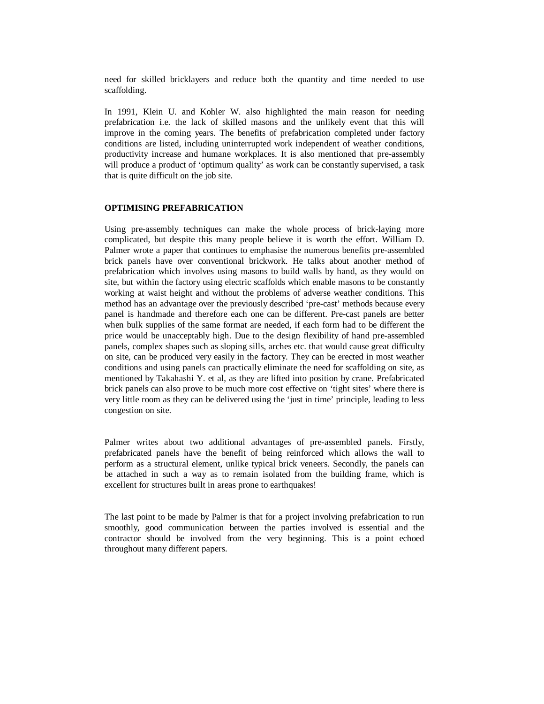need for skilled bricklayers and reduce both the quantity and time needed to use scaffolding.

In 1991, Klein U. and Kohler W. also highlighted the main reason for needing prefabrication i.e. the lack of skilled masons and the unlikely event that this will improve in the coming years. The benefits of prefabrication completed under factory conditions are listed, including uninterrupted work independent of weather conditions, productivity increase and humane workplaces. It is also mentioned that pre-assembly will produce a product of 'optimum quality' as work can be constantly supervised, a task that is quite difficult on the job site.

# **OPTIMISING PREFABRICATION**

Using pre-assembly techniques can make the whole process of brick-laying more complicated, but despite this many people believe it is worth the effort. William D. Palmer wrote a paper that continues to emphasise the numerous benefits pre-assembled brick panels have over conventional brickwork. He talks about another method of prefabrication which involves using masons to build walls by hand, as they would on site, but within the factory using electric scaffolds which enable masons to be constantly working at waist height and without the problems of adverse weather conditions. This method has an advantage over the previously described 'pre-cast' methods because every panel is handmade and therefore each one can be different. Pre-cast panels are better when bulk supplies of the same format are needed, if each form had to be different the price would be unacceptably high. Due to the design flexibility of hand pre-assembled panels, complex shapes such as sloping sills, arches etc. that would cause great difficulty on site, can be produced very easily in the factory. They can be erected in most weather conditions and using panels can practically eliminate the need for scaffolding on site, as mentioned by Takahashi Y. et al, as they are lifted into position by crane. Prefabricated brick panels can also prove to be much more cost effective on 'tight sites' where there is very little room as they can be delivered using the 'just in time' principle, leading to less congestion on site.

Palmer writes about two additional advantages of pre-assembled panels. Firstly, prefabricated panels have the benefit of being reinforced which allows the wall to perform as a structural element, unlike typical brick veneers. Secondly, the panels can be attached in such a way as to remain isolated from the building frame, which is excellent for structures built in areas prone to earthquakes!

The last point to be made by Palmer is that for a project involving prefabrication to run smoothly, good communication between the parties involved is essential and the contractor should be involved from the very beginning. This is a point echoed throughout many different papers.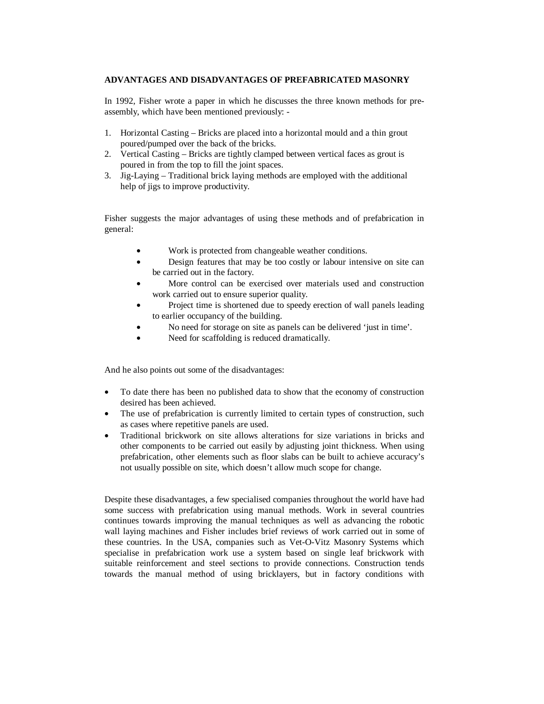# **ADVANTAGES AND DISADVANTAGES OF PREFABRICATED MASONRY**

In 1992, Fisher wrote a paper in which he discusses the three known methods for preassembly, which have been mentioned previously: -

- 1. Horizontal Casting Bricks are placed into a horizontal mould and a thin grout poured/pumped over the back of the bricks.
- 2. Vertical Casting Bricks are tightly clamped between vertical faces as grout is poured in from the top to fill the joint spaces.
- 3. Jig-Laying Traditional brick laying methods are employed with the additional help of jigs to improve productivity.

Fisher suggests the major advantages of using these methods and of prefabrication in general:

- Work is protected from changeable weather conditions.
- Design features that may be too costly or labour intensive on site can be carried out in the factory.
- More control can be exercised over materials used and construction work carried out to ensure superior quality.
- Project time is shortened due to speedy erection of wall panels leading to earlier occupancy of the building.
- No need for storage on site as panels can be delivered 'just in time'.
- Need for scaffolding is reduced dramatically.

And he also points out some of the disadvantages:

- To date there has been no published data to show that the economy of construction desired has been achieved.
- The use of prefabrication is currently limited to certain types of construction, such as cases where repetitive panels are used.
- Traditional brickwork on site allows alterations for size variations in bricks and other components to be carried out easily by adjusting joint thickness. When using prefabrication, other elements such as floor slabs can be built to achieve accuracy's not usually possible on site, which doesn't allow much scope for change.

Despite these disadvantages, a few specialised companies throughout the world have had some success with prefabrication using manual methods. Work in several countries continues towards improving the manual techniques as well as advancing the robotic wall laying machines and Fisher includes brief reviews of work carried out in some of these countries. In the USA, companies such as Vet-O-Vitz Masonry Systems which specialise in prefabrication work use a system based on single leaf brickwork with suitable reinforcement and steel sections to provide connections. Construction tends towards the manual method of using bricklayers, but in factory conditions with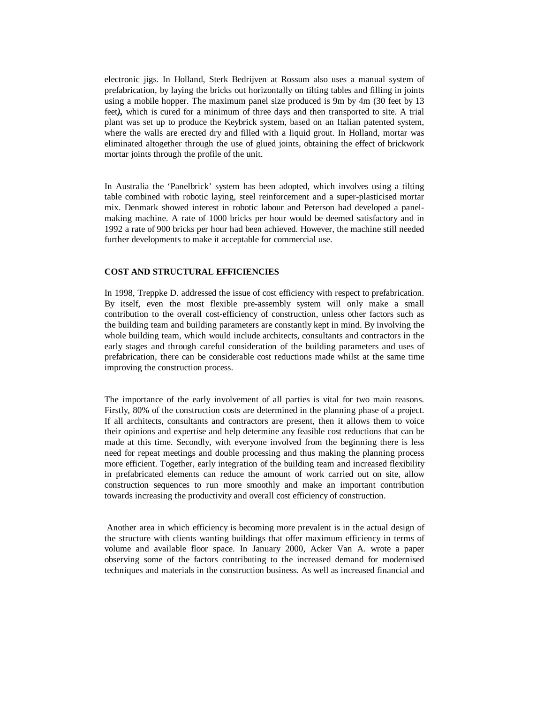electronic jigs. In Holland, Sterk Bedrijven at Rossum also uses a manual system of prefabrication, by laying the bricks out horizontally on tilting tables and filling in joints using a mobile hopper. The maximum panel size produced is 9m by 4m (30 feet by 13 feet*),* which is cured for a minimum of three days and then transported to site. A trial plant was set up to produce the Keybrick system, based on an Italian patented system, where the walls are erected dry and filled with a liquid grout. In Holland, mortar was eliminated altogether through the use of glued joints, obtaining the effect of brickwork mortar joints through the profile of the unit.

In Australia the 'Panelbrick' system has been adopted, which involves using a tilting table combined with robotic laying, steel reinforcement and a super-plasticised mortar mix. Denmark showed interest in robotic labour and Peterson had developed a panelmaking machine. A rate of 1000 bricks per hour would be deemed satisfactory and in 1992 a rate of 900 bricks per hour had been achieved. However, the machine still needed further developments to make it acceptable for commercial use.

#### **COST AND STRUCTURAL EFFICIENCIES**

In 1998, Treppke D. addressed the issue of cost efficiency with respect to prefabrication. By itself, even the most flexible pre-assembly system will only make a small contribution to the overall cost-efficiency of construction, unless other factors such as the building team and building parameters are constantly kept in mind. By involving the whole building team, which would include architects, consultants and contractors in the early stages and through careful consideration of the building parameters and uses of prefabrication, there can be considerable cost reductions made whilst at the same time improving the construction process.

The importance of the early involvement of all parties is vital for two main reasons. Firstly, 80% of the construction costs are determined in the planning phase of a project. If all architects, consultants and contractors are present, then it allows them to voice their opinions and expertise and help determine any feasible cost reductions that can be made at this time. Secondly, with everyone involved from the beginning there is less need for repeat meetings and double processing and thus making the planning process more efficient. Together, early integration of the building team and increased flexibility in prefabricated elements can reduce the amount of work carried out on site, allow construction sequences to run more smoothly and make an important contribution towards increasing the productivity and overall cost efficiency of construction.

 Another area in which efficiency is becoming more prevalent is in the actual design of the structure with clients wanting buildings that offer maximum efficiency in terms of volume and available floor space. In January 2000, Acker Van A. wrote a paper observing some of the factors contributing to the increased demand for modernised techniques and materials in the construction business. As well as increased financial and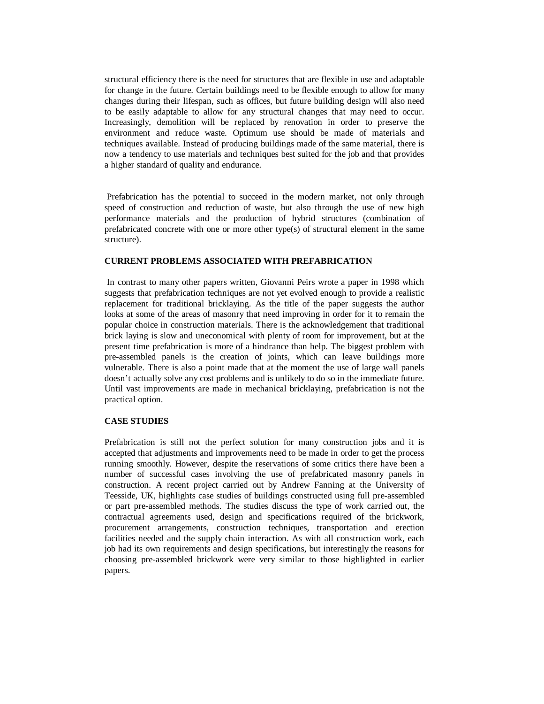structural efficiency there is the need for structures that are flexible in use and adaptable for change in the future. Certain buildings need to be flexible enough to allow for many changes during their lifespan, such as offices, but future building design will also need to be easily adaptable to allow for any structural changes that may need to occur. Increasingly, demolition will be replaced by renovation in order to preserve the environment and reduce waste. Optimum use should be made of materials and techniques available. Instead of producing buildings made of the same material, there is now a tendency to use materials and techniques best suited for the job and that provides a higher standard of quality and endurance.

 Prefabrication has the potential to succeed in the modern market, not only through speed of construction and reduction of waste, but also through the use of new high performance materials and the production of hybrid structures (combination of prefabricated concrete with one or more other type(s) of structural element in the same structure).

### **CURRENT PROBLEMS ASSOCIATED WITH PREFABRICATION**

 In contrast to many other papers written, Giovanni Peirs wrote a paper in 1998 which suggests that prefabrication techniques are not yet evolved enough to provide a realistic replacement for traditional bricklaying. As the title of the paper suggests the author looks at some of the areas of masonry that need improving in order for it to remain the popular choice in construction materials. There is the acknowledgement that traditional brick laying is slow and uneconomical with plenty of room for improvement, but at the present time prefabrication is more of a hindrance than help. The biggest problem with pre-assembled panels is the creation of joints, which can leave buildings more vulnerable. There is also a point made that at the moment the use of large wall panels doesn't actually solve any cost problems and is unlikely to do so in the immediate future. Until vast improvements are made in mechanical bricklaying, prefabrication is not the practical option.

### **CASE STUDIES**

Prefabrication is still not the perfect solution for many construction jobs and it is accepted that adjustments and improvements need to be made in order to get the process running smoothly. However, despite the reservations of some critics there have been a number of successful cases involving the use of prefabricated masonry panels in construction. A recent project carried out by Andrew Fanning at the University of Teesside, UK, highlights case studies of buildings constructed using full pre-assembled or part pre-assembled methods. The studies discuss the type of work carried out, the contractual agreements used, design and specifications required of the brickwork, procurement arrangements, construction techniques, transportation and erection facilities needed and the supply chain interaction. As with all construction work, each job had its own requirements and design specifications, but interestingly the reasons for choosing pre-assembled brickwork were very similar to those highlighted in earlier papers.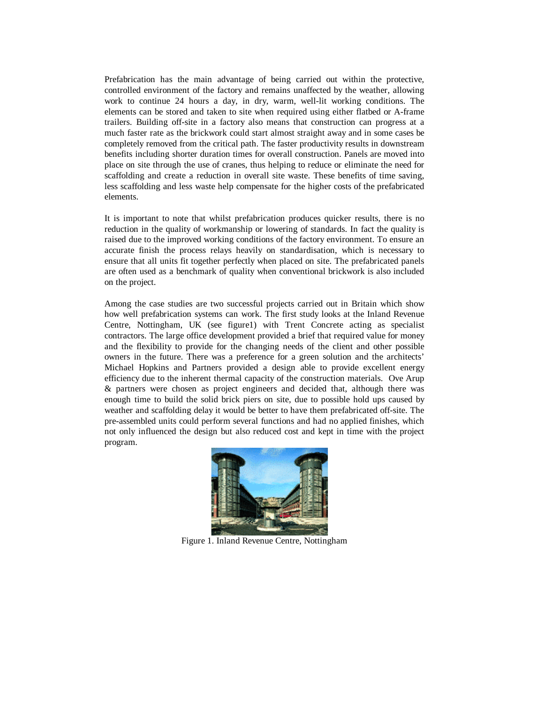Prefabrication has the main advantage of being carried out within the protective, controlled environment of the factory and remains unaffected by the weather, allowing work to continue 24 hours a day, in dry, warm, well-lit working conditions. The elements can be stored and taken to site when required using either flatbed or A-frame trailers. Building off-site in a factory also means that construction can progress at a much faster rate as the brickwork could start almost straight away and in some cases be completely removed from the critical path. The faster productivity results in downstream benefits including shorter duration times for overall construction. Panels are moved into place on site through the use of cranes, thus helping to reduce or eliminate the need for scaffolding and create a reduction in overall site waste. These benefits of time saving, less scaffolding and less waste help compensate for the higher costs of the prefabricated elements.

It is important to note that whilst prefabrication produces quicker results, there is no reduction in the quality of workmanship or lowering of standards. In fact the quality is raised due to the improved working conditions of the factory environment. To ensure an accurate finish the process relays heavily on standardisation, which is necessary to ensure that all units fit together perfectly when placed on site. The prefabricated panels are often used as a benchmark of quality when conventional brickwork is also included on the project.

Among the case studies are two successful projects carried out in Britain which show how well prefabrication systems can work. The first study looks at the Inland Revenue Centre, Nottingham, UK (see figure1) with Trent Concrete acting as specialist contractors. The large office development provided a brief that required value for money and the flexibility to provide for the changing needs of the client and other possible owners in the future. There was a preference for a green solution and the architects' Michael Hopkins and Partners provided a design able to provide excellent energy efficiency due to the inherent thermal capacity of the construction materials. Ove Arup & partners were chosen as project engineers and decided that, although there was enough time to build the solid brick piers on site, due to possible hold ups caused by weather and scaffolding delay it would be better to have them prefabricated off-site. The pre-assembled units could perform several functions and had no applied finishes, which not only influenced the design but also reduced cost and kept in time with the project program.



Figure 1. Inland Revenue Centre, Nottingham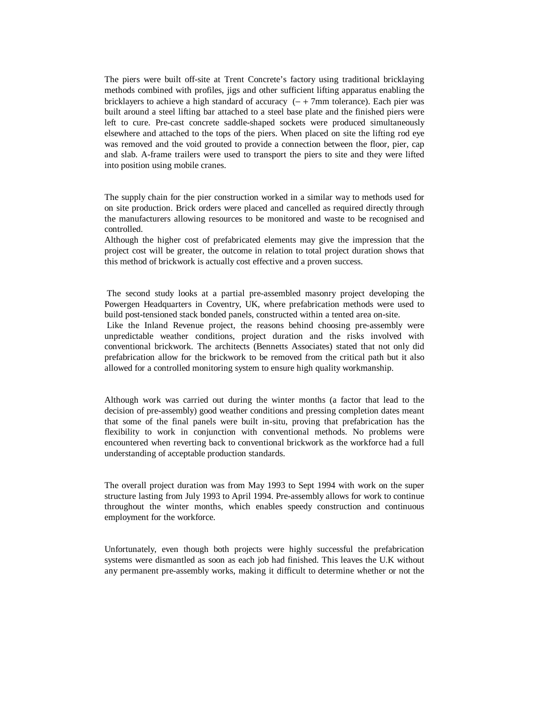The piers were built off-site at Trent Concrete's factory using traditional bricklaying methods combined with profiles, jigs and other sufficient lifting apparatus enabling the bricklayers to achieve a high standard of accuracy (− + 7mm tolerance). Each pier was built around a steel lifting bar attached to a steel base plate and the finished piers were left to cure. Pre-cast concrete saddle-shaped sockets were produced simultaneously elsewhere and attached to the tops of the piers. When placed on site the lifting rod eye was removed and the void grouted to provide a connection between the floor, pier, cap and slab. A-frame trailers were used to transport the piers to site and they were lifted into position using mobile cranes.

The supply chain for the pier construction worked in a similar way to methods used for on site production. Brick orders were placed and cancelled as required directly through the manufacturers allowing resources to be monitored and waste to be recognised and controlled.

Although the higher cost of prefabricated elements may give the impression that the project cost will be greater, the outcome in relation to total project duration shows that this method of brickwork is actually cost effective and a proven success.

 The second study looks at a partial pre-assembled masonry project developing the Powergen Headquarters in Coventry, UK, where prefabrication methods were used to build post-tensioned stack bonded panels, constructed within a tented area on-site.

 Like the Inland Revenue project, the reasons behind choosing pre-assembly were unpredictable weather conditions, project duration and the risks involved with conventional brickwork. The architects (Bennetts Associates) stated that not only did prefabrication allow for the brickwork to be removed from the critical path but it also allowed for a controlled monitoring system to ensure high quality workmanship.

Although work was carried out during the winter months (a factor that lead to the decision of pre-assembly) good weather conditions and pressing completion dates meant that some of the final panels were built in-situ, proving that prefabrication has the flexibility to work in conjunction with conventional methods. No problems were encountered when reverting back to conventional brickwork as the workforce had a full understanding of acceptable production standards.

The overall project duration was from May 1993 to Sept 1994 with work on the super structure lasting from July 1993 to April 1994. Pre-assembly allows for work to continue throughout the winter months, which enables speedy construction and continuous employment for the workforce.

Unfortunately, even though both projects were highly successful the prefabrication systems were dismantled as soon as each job had finished. This leaves the U.K without any permanent pre-assembly works, making it difficult to determine whether or not the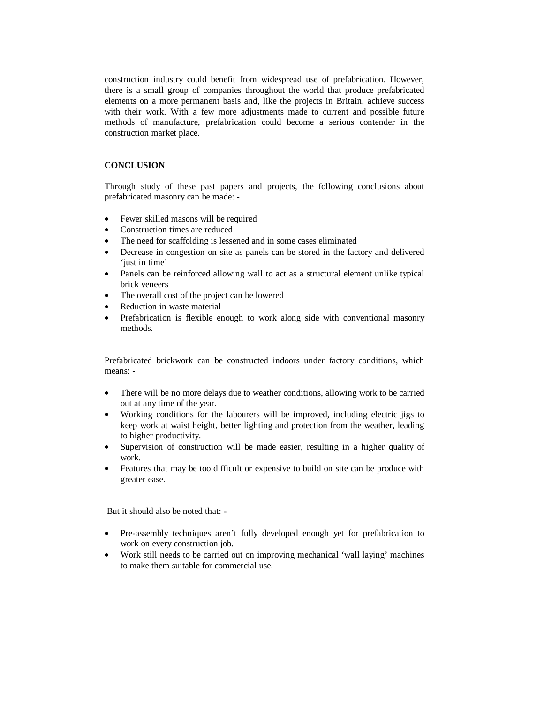construction industry could benefit from widespread use of prefabrication. However, there is a small group of companies throughout the world that produce prefabricated elements on a more permanent basis and, like the projects in Britain, achieve success with their work. With a few more adjustments made to current and possible future methods of manufacture, prefabrication could become a serious contender in the construction market place.

# **CONCLUSION**

Through study of these past papers and projects, the following conclusions about prefabricated masonry can be made: -

- Fewer skilled masons will be required
- Construction times are reduced
- The need for scaffolding is lessened and in some cases eliminated
- Decrease in congestion on site as panels can be stored in the factory and delivered 'just in time'
- Panels can be reinforced allowing wall to act as a structural element unlike typical brick veneers
- The overall cost of the project can be lowered
- Reduction in waste material
- Prefabrication is flexible enough to work along side with conventional masonry methods.

Prefabricated brickwork can be constructed indoors under factory conditions, which means: -

- There will be no more delays due to weather conditions, allowing work to be carried out at any time of the year.
- Working conditions for the labourers will be improved, including electric jigs to keep work at waist height, better lighting and protection from the weather, leading to higher productivity.
- Supervision of construction will be made easier, resulting in a higher quality of work.
- Features that may be too difficult or expensive to build on site can be produce with greater ease.

But it should also be noted that: -

- Pre-assembly techniques aren't fully developed enough yet for prefabrication to work on every construction job.
- Work still needs to be carried out on improving mechanical 'wall laying' machines to make them suitable for commercial use.